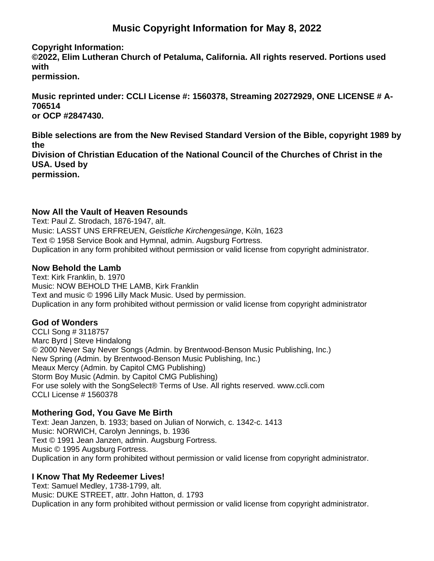# **Music Copyright Information for May 8, 2022**

**Copyright Information:**

**©2022, Elim Lutheran Church of Petaluma, California. All rights reserved. Portions used with**

**permission.**

**Music reprinted under: CCLI License #: 1560378, Streaming 20272929, ONE LICENSE # A-706514 or OCP #2847430.**

**Bible selections are from the New Revised Standard Version of the Bible, copyright 1989 by the Division of Christian Education of the National Council of the Churches of Christ in the USA. Used by permission.**

#### **Now All the Vault of Heaven Resounds**

Text: Paul Z. Strodach, 1876-1947, alt. Music: LASST UNS ERFREUEN, *Geistliche Kirchengesänge*, Köln, 1623 Text © 1958 Service Book and Hymnal, admin. Augsburg Fortress. Duplication in any form prohibited without permission or valid license from copyright administrator.

## **Now Behold the Lamb**

Text: Kirk Franklin, b. 1970 Music: NOW BEHOLD THE LAMB, Kirk Franklin Text and music © 1996 Lilly Mack Music. Used by permission. Duplication in any form prohibited without permission or valid license from copyright administrator

# **God of Wonders**

CCLI Song # 3118757 Marc Byrd | Steve Hindalong © 2000 Never Say Never Songs (Admin. by Brentwood-Benson Music Publishing, Inc.) New Spring (Admin. by Brentwood-Benson Music Publishing, Inc.) Meaux Mercy (Admin. by Capitol CMG Publishing) Storm Boy Music (Admin. by Capitol CMG Publishing) For use solely with the SongSelect® Terms of Use. All rights reserved. www.ccli.com CCLI License # 1560378

# **Mothering God, You Gave Me Birth**

Text: Jean Janzen, b. 1933; based on Julian of Norwich, c. 1342-c. 1413 Music: NORWICH, Carolyn Jennings, b. 1936 Text © 1991 Jean Janzen, admin. Augsburg Fortress. Music © 1995 Augsburg Fortress. Duplication in any form prohibited without permission or valid license from copyright administrator.

#### **I Know That My Redeemer Lives!**

Text: Samuel Medley, 1738-1799, alt. Music: DUKE STREET, attr. John Hatton, d. 1793 Duplication in any form prohibited without permission or valid license from copyright administrator.